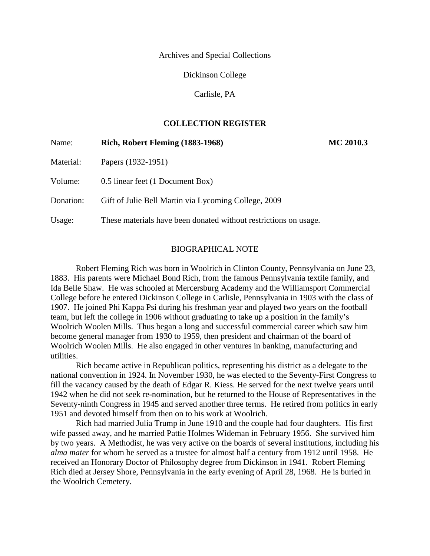Archives and Special Collections

Dickinson College

Carlisle, PA

# **COLLECTION REGISTER**

| Rich, Robert Fleming (1883-1968)                     | MC 2010.3                                                        |
|------------------------------------------------------|------------------------------------------------------------------|
| Papers (1932-1951)                                   |                                                                  |
| 0.5 linear feet (1 Document Box)                     |                                                                  |
| Gift of Julie Bell Martin via Lycoming College, 2009 |                                                                  |
|                                                      |                                                                  |
|                                                      | These materials have been donated without restrictions on usage. |

# BIOGRAPHICAL NOTE

Robert Fleming Rich was born in Woolrich in Clinton County, Pennsylvania on June 23, 1883. His parents were Michael Bond Rich, from the famous Pennsylvania textile family, and Ida Belle Shaw. He was schooled at Mercersburg Academy and the Williamsport Commercial College before he entered Dickinson College in Carlisle, Pennsylvania in 1903 with the class of 1907. He joined Phi Kappa Psi during his freshman year and played two years on the football team, but left the college in 1906 without graduating to take up a position in the family's Woolrich Woolen Mills. Thus began a long and successful commercial career which saw him become general manager from 1930 to 1959, then president and chairman of the board of Woolrich Woolen Mills. He also engaged in other ventures in banking, manufacturing and utilities.

Rich became active in Republican politics, representing his district as a delegate to the national convention in 1924. In November 1930, he was elected to the Seventy-First Congress to fill the vacancy caused by the death of Edgar R. Kiess. He served for the next twelve years until 1942 when he did not seek re-nomination, but he returned to the House of Representatives in the Seventy-ninth Congress in 1945 and served another three terms. He retired from politics in early 1951 and devoted himself from then on to his work at Woolrich.

Rich had married Julia Trump in June 1910 and the couple had four daughters. His first wife passed away, and he married Pattie Holmes Wideman in February 1956. She survived him by two years. A Methodist, he was very active on the boards of several institutions, including his *alma mater* for whom he served as a trustee for almost half a century from 1912 until 1958. He received an Honorary Doctor of Philosophy degree from Dickinson in 1941. Robert Fleming Rich died at Jersey Shore, Pennsylvania in the early evening of April 28, 1968. He is buried in the Woolrich Cemetery.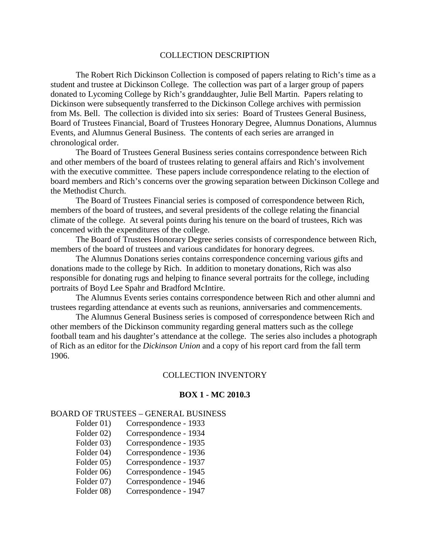### COLLECTION DESCRIPTION

The Robert Rich Dickinson Collection is composed of papers relating to Rich's time as a student and trustee at Dickinson College. The collection was part of a larger group of papers donated to Lycoming College by Rich's granddaughter, Julie Bell Martin. Papers relating to Dickinson were subsequently transferred to the Dickinson College archives with permission from Ms. Bell. The collection is divided into six series: Board of Trustees General Business, Board of Trustees Financial, Board of Trustees Honorary Degree, Alumnus Donations, Alumnus Events, and Alumnus General Business. The contents of each series are arranged in chronological order.

The Board of Trustees General Business series contains correspondence between Rich and other members of the board of trustees relating to general affairs and Rich's involvement with the executive committee. These papers include correspondence relating to the election of board members and Rich's concerns over the growing separation between Dickinson College and the Methodist Church.

The Board of Trustees Financial series is composed of correspondence between Rich, members of the board of trustees, and several presidents of the college relating the financial climate of the college. At several points during his tenure on the board of trustees, Rich was concerned with the expenditures of the college.

The Board of Trustees Honorary Degree series consists of correspondence between Rich, members of the board of trustees and various candidates for honorary degrees.

The Alumnus Donations series contains correspondence concerning various gifts and donations made to the college by Rich. In addition to monetary donations, Rich was also responsible for donating rugs and helping to finance several portraits for the college, including portraits of Boyd Lee Spahr and Bradford McIntire.

The Alumnus Events series contains correspondence between Rich and other alumni and trustees regarding attendance at events such as reunions, anniversaries and commencements.

The Alumnus General Business series is composed of correspondence between Rich and other members of the Dickinson community regarding general matters such as the college football team and his daughter's attendance at the college. The series also includes a photograph of Rich as an editor for the *Dickinson Union* and a copy of his report card from the fall term 1906.

### COLLECTION INVENTORY

#### **BOX 1 - MC 2010.3**

#### BOARD OF TRUSTEES – GENERAL BUSINESS

- Folder 01) Correspondence 1933
- Folder 02) Correspondence 1934
- Folder 03) Correspondence 1935
- Folder 04) Correspondence 1936
- Folder 05) Correspondence 1937
- Folder 06) Correspondence 1945
- Folder 07) Correspondence 1946
- Folder 08) Correspondence 1947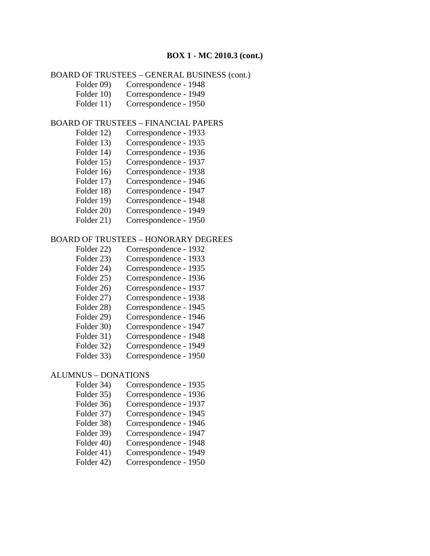# **BOX 1 - MC 2010.3 (cont.)**

# BOARD OF TRUSTEES – GENERAL BUSINESS (cont.)

- Folder 09) Correspondence 1948
- Folder 10) Correspondence 1949
- Folder 11) Correspondence 1950

### BOARD OF TRUSTEES – FINANCIAL PAPERS

- Folder 12) Correspondence 1933
- Folder 13) Correspondence 1935
- Folder 14) Correspondence 1936
- Folder 15) Correspondence 1937
- Folder 16) Correspondence 1938
- Folder 17) Correspondence 1946
- Folder 18) Correspondence 1947
- Folder 19) Correspondence 1948
- Folder 20) Correspondence 1949
- Folder 21) Correspondence 1950

### BOARD OF TRUSTEES – HONORARY DEGREES

- Folder 22) Correspondence 1932
- Folder 23) Correspondence 1933
- Folder 24) Correspondence 1935
- Folder 25) Correspondence 1936
- Folder 26) Correspondence 1937
- Folder 27) Correspondence 1938
- Folder 28) Correspondence 1945
- Folder 29) Correspondence 1946
- Folder 30) Correspondence 1947
- Folder 31) Correspondence 1948
- Folder 32) Correspondence 1949
- Folder 33) Correspondence 1950

### ALUMNUS – DONATIONS

- Folder 34) Correspondence 1935
- Folder 35) Correspondence 1936
- Folder 36) Correspondence 1937
- Folder 37) Correspondence 1945
- Folder 38) Correspondence 1946
- Folder 39) Correspondence 1947
- Folder 40) Correspondence 1948
- Folder 41) Correspondence 1949
- Folder 42) Correspondence 1950